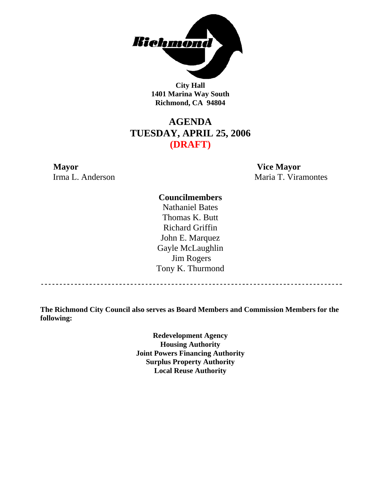

**City Hall 1401 Marina Way South Richmond, CA 94804** 

## **AGENDA TUESDAY, APRIL 25, 2006 (DRAFT)**

**Mayor Vice Mayor** Irma L. Anderson Maria T. Viramontes

#### **Councilmembers**

Nathaniel Bates Thomas K. Butt Richard Griffin John E. Marquez Gayle McLaughlin Jim Rogers Tony K. Thurmond

**The Richmond City Council also serves as Board Members and Commission Members for the following:** 

> **Redevelopment Agency Housing Authority Joint Powers Financing Authority Surplus Property Authority Local Reuse Authority**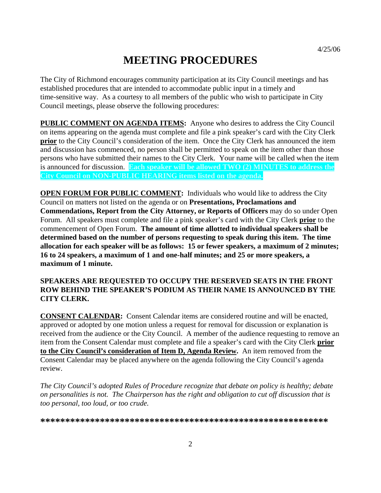## **MEETING PROCEDURES**

The City of Richmond encourages community participation at its City Council meetings and has established procedures that are intended to accommodate public input in a timely and time-sensitive way. As a courtesy to all members of the public who wish to participate in City Council meetings, please observe the following procedures:

**PUBLIC COMMENT ON AGENDA ITEMS:** Anyone who desires to address the City Council on items appearing on the agenda must complete and file a pink speaker's card with the City Clerk **prior** to the City Council's consideration of the item. Once the City Clerk has announced the item and discussion has commenced, no person shall be permitted to speak on the item other than those persons who have submitted their names to the City Clerk. Your name will be called when the item is announced for discussion. **Each speaker will be allowed TWO (2) MINUTES to address the City Council on NON-PUBLIC HEARING items listed on the agenda.** 

**OPEN FORUM FOR PUBLIC COMMENT:** Individuals who would like to address the City Council on matters not listed on the agenda or on **Presentations, Proclamations and Commendations, Report from the City Attorney, or Reports of Officers** may do so under Open Forum. All speakers must complete and file a pink speaker's card with the City Clerk **prior** to the commencement of Open Forum. **The amount of time allotted to individual speakers shall be determined based on the number of persons requesting to speak during this item. The time allocation for each speaker will be as follows: 15 or fewer speakers, a maximum of 2 minutes; 16 to 24 speakers, a maximum of 1 and one-half minutes; and 25 or more speakers, a maximum of 1 minute.** 

#### **SPEAKERS ARE REQUESTED TO OCCUPY THE RESERVED SEATS IN THE FRONT ROW BEHIND THE SPEAKER'S PODIUM AS THEIR NAME IS ANNOUNCED BY THE CITY CLERK.**

**CONSENT CALENDAR:** Consent Calendar items are considered routine and will be enacted, approved or adopted by one motion unless a request for removal for discussion or explanation is received from the audience or the City Council. A member of the audience requesting to remove an item from the Consent Calendar must complete and file a speaker's card with the City Clerk **prior to the City Council's consideration of Item D, Agenda Review.** An item removed from the Consent Calendar may be placed anywhere on the agenda following the City Council's agenda review.

*The City Council's adopted Rules of Procedure recognize that debate on policy is healthy; debate on personalities is not. The Chairperson has the right and obligation to cut off discussion that is too personal, too loud, or too crude.* 

**\*\*\*\*\*\*\*\*\*\*\*\*\*\*\*\*\*\*\*\*\*\*\*\*\*\*\*\*\*\*\*\*\*\*\*\*\*\*\*\*\*\*\*\*\*\*\*\*\*\*\*\*\*\*\*\*\*\***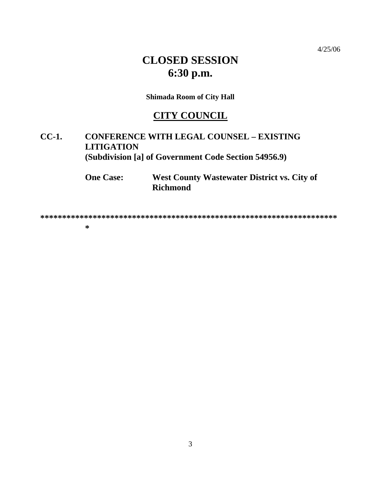$4/25/06$ 

# **CLOSED SESSION** 6:30 p.m.

**Shimada Room of City Hall** 

## **CITY COUNCIL**

#### $CC-1$ . **CONFERENCE WITH LEGAL COUNSEL - EXISTING LITIGATION** (Subdivision [a] of Government Code Section 54956.9)

West County Wastewater District vs. City of **One Case: Richmond** 

 $\ast$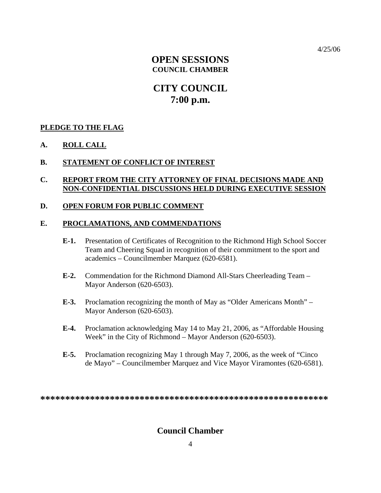4/25/06

## **OPEN SESSIONS COUNCIL CHAMBER**

## **CITY COUNCIL 7:00 p.m.**

#### **PLEDGE TO THE FLAG**

#### **A. ROLL CALL**

#### **B. STATEMENT OF CONFLICT OF INTEREST**

#### **C. REPORT FROM THE CITY ATTORNEY OF FINAL DECISIONS MADE AND NON-CONFIDENTIAL DISCUSSIONS HELD DURING EXECUTIVE SESSION**

#### **D. OPEN FORUM FOR PUBLIC COMMENT**

#### **E. PROCLAMATIONS, AND COMMENDATIONS**

- **E-1.** Presentation of Certificates of Recognition to the Richmond High School Soccer Team and Cheering Squad in recognition of their commitment to the sport and academics – Councilmember Marquez (620-6581).
- **E-2.** Commendation for the Richmond Diamond All-Stars Cheerleading Team Mayor Anderson (620-6503).
- **E-3.** Proclamation recognizing the month of May as "Older Americans Month" Mayor Anderson (620-6503).
- **E-4.** Proclamation acknowledging May 14 to May 21, 2006, as "Affordable Housing Week" in the City of Richmond – Mayor Anderson (620-6503).
- **E-5.** Proclamation recognizing May 1 through May 7, 2006, as the week of "Cinco de Mayo" – Councilmember Marquez and Vice Mayor Viramontes (620-6581).

**\*\*\*\*\*\*\*\*\*\*\*\*\*\*\*\*\*\*\*\*\*\*\*\*\*\*\*\*\*\*\*\*\*\*\*\*\*\*\*\*\*\*\*\*\*\*\*\*\*\*\*\*\*\*\*\*\*\*** 

#### **Council Chamber**